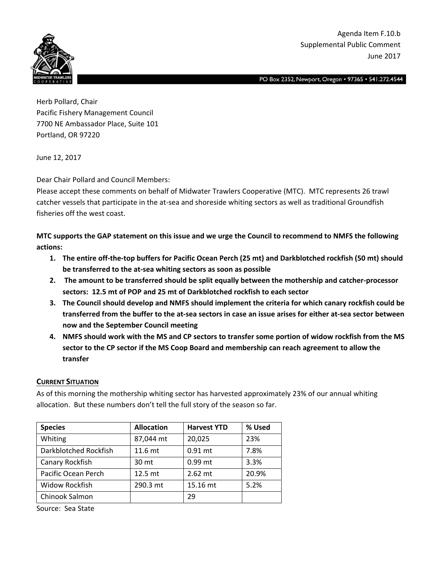

PO Box 2352, Newport, Oregon • 97365 • 541.272.4544

Herb Pollard, Chair Pacific Fishery Management Council 7700 NE Ambassador Place, Suite 101 Portland, OR 97220

June 12, 2017

Dear Chair Pollard and Council Members:

Please accept these comments on behalf of Midwater Trawlers Cooperative (MTC). MTC represents 26 trawl catcher vessels that participate in the at-sea and shoreside whiting sectors as well as traditional Groundfish fisheries off the west coast.

MTC supports the GAP statement on this issue and we urge the Council to recommend to NMFS the following **actions:**

- 1. The entire off-the-top buffers for Pacific Ocean Perch (25 mt) and Darkblotched rockfish (50 mt) should **be transferred to the at‐sea whiting sectors as soon as possible**
- **2. The amount to be transferred should be split equally between the mothership and catcher‐processor sectors: 12.5 mt of POP and 25 mt of Darkblotched rockfish to each sector**
- **3. The Council should develop and NMFS should implement the criteria for which canary rockfish could be** transferred from the buffer to the at-sea sectors in case an issue arises for either at-sea sector between **now and the September Council meeting**
- 4. NMFS should work with the MS and CP sectors to transfer some portion of widow rockfish from the MS **sector to the CP sector if the MS Coop Board and membership can reach agreement to allow the transfer**

### **CURRENT SITUATION**

As of this morning the mothership whiting sector has harvested approximately 23% of our annual whiting allocation. But these numbers don't tell the full story of the season so far.

| <b>Species</b>        | <b>Allocation</b> | <b>Harvest YTD</b> | % Used |
|-----------------------|-------------------|--------------------|--------|
| Whiting               | 87,044 mt         | 20,025             | 23%    |
| Darkblotched Rockfish | $11.6$ mt         | $0.91$ mt          | 7.8%   |
| Canary Rockfish       | 30 mt             | $0.99$ mt          | 3.3%   |
| Pacific Ocean Perch   | 12.5 mt           | $2.62$ mt          | 20.9%  |
| Widow Rockfish        | 290.3 mt          | 15.16 mt           | 5.2%   |
| Chinook Salmon        |                   | 29                 |        |

Source: Sea State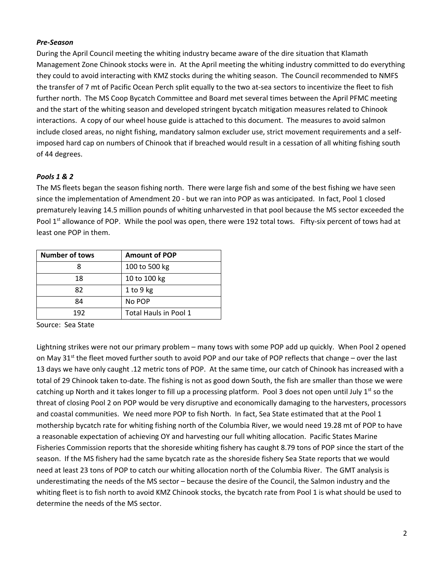#### *Pre‐Season*

During the April Council meeting the whiting industry became aware of the dire situation that Klamath Management Zone Chinook stocks were in. At the April meeting the whiting industry committed to do everything they could to avoid interacting with KMZ stocks during the whiting season. The Council recommended to NMFS the transfer of 7 mt of Pacific Ocean Perch split equally to the two at-sea sectors to incentivize the fleet to fish further north. The MS Coop Bycatch Committee and Board met several times between the April PFMC meeting and the start of the whiting season and developed stringent bycatch mitigation measures related to Chinook interactions. A copy of our wheel house guide is attached to this document. The measures to avoid salmon include closed areas, no night fishing, mandatory salmon excluder use, strict movement requirements and a self‐ imposed hard cap on numbers of Chinook that if breached would result in a cessation of all whiting fishing south of 44 degrees.

### *Pools 1 & 2*

The MS fleets began the season fishing north. There were large fish and some of the best fishing we have seen since the implementation of Amendment 20 - but we ran into POP as was anticipated. In fact, Pool 1 closed prematurely leaving 14.5 million pounds of whiting unharvested in that pool because the MS sector exceeded the Pool 1<sup>st</sup> allowance of POP. While the pool was open, there were 192 total tows. Fifty-six percent of tows had at least one POP in them.

| <b>Number of tows</b> | <b>Amount of POP</b>  |
|-----------------------|-----------------------|
|                       | 100 to 500 kg         |
| 18                    | 10 to 100 kg          |
| 82                    | $1$ to $9$ kg         |
| 84                    | No POP                |
| 192                   | Total Hauls in Pool 1 |

Source: Sea State

Lightning strikes were not our primary problem – many tows with some POP add up quickly. When Pool 2 opened on May 31<sup>st</sup> the fleet moved further south to avoid POP and our take of POP reflects that change – over the last 13 days we have only caught .12 metric tons of POP. At the same time, our catch of Chinook has increased with a total of 29 Chinook taken to-date. The fishing is not as good down South, the fish are smaller than those we were catching up North and it takes longer to fill up a processing platform. Pool 3 does not open until July  $1^{st}$  so the threat of closing Pool 2 on POP would be very disruptive and economically damaging to the harvesters, processors and coastal communities. We need more POP to fish North. In fact, Sea State estimated that at the Pool 1 mothership bycatch rate for whiting fishing north of the Columbia River, we would need 19.28 mt of POP to have a reasonable expectation of achieving OY and harvesting our full whiting allocation. Pacific States Marine Fisheries Commission reports that the shoreside whiting fishery has caught 8.79 tons of POP since the start of the season. If the MS fishery had the same bycatch rate as the shoreside fishery Sea State reports that we would need at least 23 tons of POP to catch our whiting allocation north of the Columbia River. The GMT analysis is underestimating the needs of the MS sector – because the desire of the Council, the Salmon industry and the whiting fleet is to fish north to avoid KMZ Chinook stocks, the bycatch rate from Pool 1 is what should be used to determine the needs of the MS sector.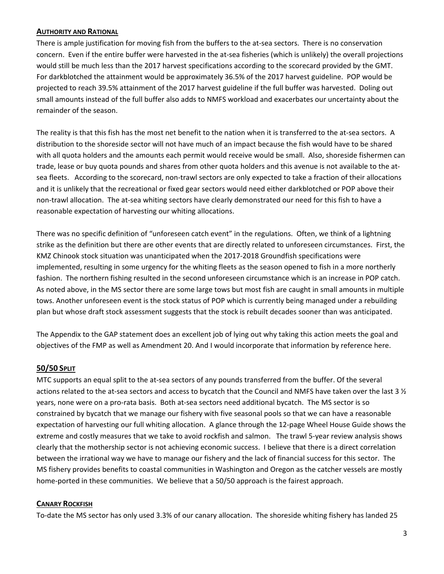### **AUTHORITY AND RATIONAL**

There is ample justification for moving fish from the buffers to the at‐sea sectors. There is no conservation concern. Even if the entire buffer were harvested in the at-sea fisheries (which is unlikely) the overall projections would still be much less than the 2017 harvest specifications according to the scorecard provided by the GMT. For darkblotched the attainment would be approximately 36.5% of the 2017 harvest guideline. POP would be projected to reach 39.5% attainment of the 2017 harvest guideline if the full buffer was harvested. Doling out small amounts instead of the full buffer also adds to NMFS workload and exacerbates our uncertainty about the remainder of the season.

The reality is that this fish has the most net benefit to the nation when it is transferred to the at-sea sectors. A distribution to the shoreside sector will not have much of an impact because the fish would have to be shared with all quota holders and the amounts each permit would receive would be small. Also, shoreside fishermen can trade, lease or buy quota pounds and shares from other quota holders and this avenue is not available to the at‐ sea fleets. According to the scorecard, non-trawl sectors are only expected to take a fraction of their allocations and it is unlikely that the recreational or fixed gear sectors would need either darkblotched or POP above their non-trawl allocation. The at-sea whiting sectors have clearly demonstrated our need for this fish to have a reasonable expectation of harvesting our whiting allocations.

There was no specific definition of "unforeseen catch event" in the regulations. Often, we think of a lightning strike as the definition but there are other events that are directly related to unforeseen circumstances. First, the KMZ Chinook stock situation was unanticipated when the 2017‐2018 Groundfish specifications were implemented, resulting in some urgency for the whiting fleets as the season opened to fish in a more northerly fashion. The northern fishing resulted in the second unforeseen circumstance which is an increase in POP catch. As noted above, in the MS sector there are some large tows but most fish are caught in small amounts in multiple tows. Another unforeseen event is the stock status of POP which is currently being managed under a rebuilding plan but whose draft stock assessment suggests that the stock is rebuilt decades sooner than was anticipated.

The Appendix to the GAP statement does an excellent job of lying out why taking this action meets the goal and objectives of the FMP as well as Amendment 20. And I would incorporate that information by reference here.

### **50/50 SPLIT**

MTC supports an equal split to the at-sea sectors of any pounds transferred from the buffer. Of the several actions related to the at-sea sectors and access to bycatch that the Council and NMFS have taken over the last 3  $\frac{1}{2}$ years, none were on a pro‐rata basis. Both at‐sea sectors need additional bycatch. The MS sector is so constrained by bycatch that we manage our fishery with five seasonal pools so that we can have a reasonable expectation of harvesting our full whiting allocation. A glance through the 12‐page Wheel House Guide shows the extreme and costly measures that we take to avoid rockfish and salmon. The trawl 5‐year review analysis shows clearly that the mothership sector is not achieving economic success. I believe that there is a direct correlation between the irrational way we have to manage our fishery and the lack of financial success for this sector. The MS fishery provides benefits to coastal communities in Washington and Oregon as the catcher vessels are mostly home-ported in these communities. We believe that a 50/50 approach is the fairest approach.

#### **CANARY ROCKFISH**

To-date the MS sector has only used 3.3% of our canary allocation. The shoreside whiting fishery has landed 25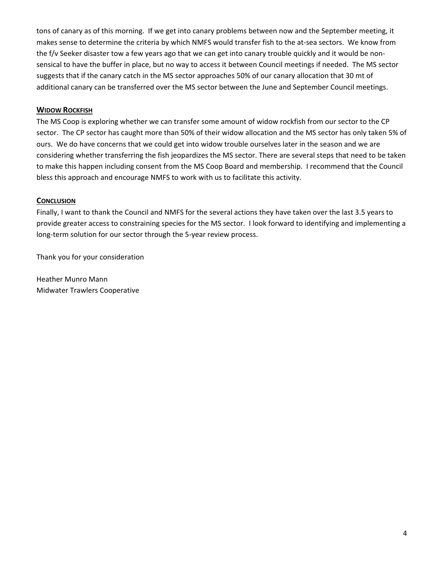tons of canary as of this morning. If we get into canary problems between now and the September meeting, it makes sense to determine the criteria by which NMFS would transfer fish to the at‐sea sectors. We know from the f/v Seeker disaster tow a few years ago that we can get into canary trouble quickly and it would be non‐ sensical to have the buffer in place, but no way to access it between Council meetings if needed. The MS sector suggests that if the canary catch in the MS sector approaches 50% of our canary allocation that 30 mt of additional canary can be transferred over the MS sector between the June and September Council meetings.

### **WIDOW ROCKFISH**

The MS Coop is exploring whether we can transfer some amount of widow rockfish from our sector to the CP sector. The CP sector has caught more than 50% of their widow allocation and the MS sector has only taken 5% of ours. We do have concerns that we could get into widow trouble ourselves later in the season and we are considering whether transferring the fish jeopardizes the MS sector. There are several steps that need to be taken to make this happen including consent from the MS Coop Board and membership. I recommend that the Council bless this approach and encourage NMFS to work with us to facilitate this activity.

### **CONCLUSION**

Finally, I want to thank the Council and NMFS for the several actions they have taken over the last 3.5 years to provide greater access to constraining species for the MS sector. I look forward to identifying and implementing a long-term solution for our sector through the 5-year review process.

Thank you for your consideration

Heather Munro Mann Midwater Trawlers Cooperative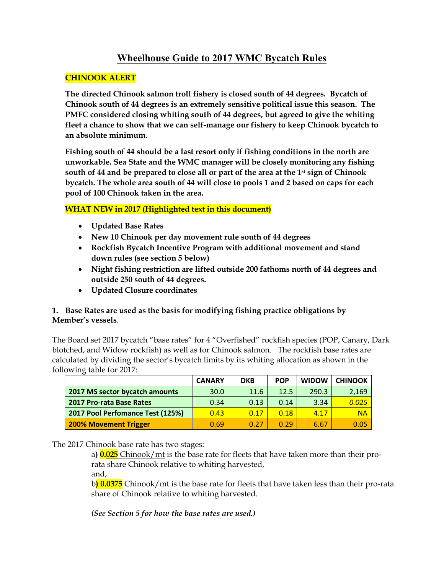# **Wheelhouse Guide to 2017 WMC Bycatch Rules**

### **CHINOOK ALERT**

**The directed Chinook salmon troll fishery is closed south of 44 degrees. Bycatch of Chinook south of 44 degrees is an extremely sensitive political issue this season. The PMFC considered closing whiting south of 44 degrees, but agreed to give the whiting fleet a chance to show that we can self-manage our fishery to keep Chinook bycatch to an absolute minimum.** 

**Fishing south of 44 should be a last resort only if fishing conditions in the north are unworkable. Sea State and the WMC manager will be closely monitoring any fishing south of 44 and be prepared to close all or part of the area at the 1st sign of Chinook bycatch. The whole area south of 44 will close to pools 1 and 2 based on caps for each pool of 100 Chinook taken in the area.**

## **WHAT NEW in 2017 (Highlighted text in this document)**

- **Updated Base Rates**
- **New 10 Chinook per day movement rule south of 44 degrees**
- **Rockfish Bycatch Incentive Program with additional movement and stand down rules (see section 5 below)**
- **Night fishing restriction are lifted outside 200 fathoms north of 44 degrees and outside 250 south of 44 degrees.**
- **Updated Closure coordinates**

### **1. Base Rates are used as the basis for modifying fishing practice obligations by Member's vessels**.

The Board set 2017 bycatch "base rates" for 4 "Overfished" rockfish species (POP, Canary, Dark blotched, and Widow rockfish) as well as for Chinook salmon. The rockfish base rates are calculated by dividing the sector's bycatch limits by its whiting allocation as shown in the following table for 2017:

|                                  | <b>CANARY</b> | <b>DKB</b> | <b>POP</b> | <b>WIDOW</b> | <b>CHINOOK</b> |
|----------------------------------|---------------|------------|------------|--------------|----------------|
| 2017 MS sector bycatch amounts   | 30.0          | 11.6       | 12.5       | 290.3        | 2,169          |
| <b>2017 Pro-rata Base Rates</b>  | 0.34          | 0.13       | 0.14       | 3.34         | 0.025          |
| 2017 Pool Perfomance Test (125%) | 0.43          | 0.17       | 0.18       | 4.17         | <b>NA</b>      |
| <b>200% Movement Trigger</b>     | 0.69          | 0.27       | 0.29       | 6.67         | 0.05           |

### The 2017 Chinook base rate has two stages:

a**) 0.025** Chinook/mt is the base rate for fleets that have taken more than their prorata share Chinook relative to whiting harvested, and,

b**) 0.0375** Chinook/mt is the base rate for fleets that have taken less than their pro-rata share of Chinook relative to whiting harvested.

*(See Section 5 for how the base rates are used.)*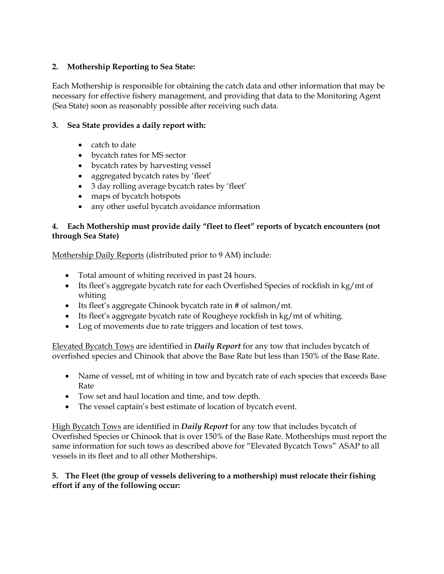### **2. Mothership Reporting to Sea State:**

Each Mothership is responsible for obtaining the catch data and other information that may be necessary for effective fishery management, and providing that data to the Monitoring Agent (Sea State) soon as reasonably possible after receiving such data.

### **3. Sea State provides a daily report with:**

- catch to date
- bycatch rates for MS sector
- bycatch rates by harvesting vessel
- aggregated bycatch rates by 'fleet'
- 3 day rolling average bycatch rates by 'fleet'
- maps of bycatch hotspots
- any other useful bycatch avoidance information

### **4. Each Mothership must provide daily "fleet to fleet" reports of bycatch encounters (not through Sea State)**

Mothership Daily Reports (distributed prior to 9 AM) include:

- Total amount of whiting received in past 24 hours.
- Its fleet's aggregate bycatch rate for each Overfished Species of rockfish in kg/mt of whiting
- Its fleet's aggregate Chinook bycatch rate in # of salmon/mt.
- Its fleet's aggregate bycatch rate of Rougheye rockfish in kg/mt of whiting.
- Log of movements due to rate triggers and location of test tows.

Elevated Bycatch Tows are identified in *Daily Report* for any tow that includes bycatch of overfished species and Chinook that above the Base Rate but less than 150% of the Base Rate.

- Name of vessel, mt of whiting in tow and bycatch rate of each species that exceeds Base Rate
- Tow set and haul location and time, and tow depth.
- The vessel captain's best estimate of location of bycatch event.

High Bycatch Tows are identified in *Daily Report* for any tow that includes bycatch of Overfished Species or Chinook that is over 150% of the Base Rate. Motherships must report the same information for such tows as described above for "Elevated Bycatch Tows" ASAP to all vessels in its fleet and to all other Motherships.

## **5. The Fleet (the group of vessels delivering to a mothership) must relocate their fishing effort if any of the following occur:**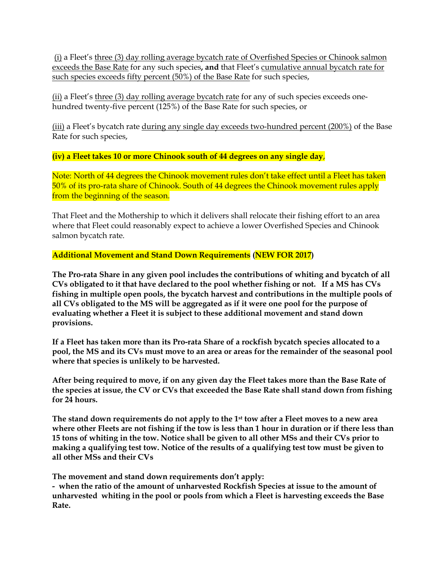(i) a Fleet's three (3) day rolling average bycatch rate of Overfished Species or Chinook salmon exceeds the Base Rate for any such species**, and** that Fleet's cumulative annual bycatch rate for such species exceeds fifty percent (50%) of the Base Rate for such species,

(ii) a Fleet's three (3) day rolling average bycatch rate for any of such species exceeds onehundred twenty-five percent (125%) of the Base Rate for such species, or

(iii) a Fleet's bycatch rate during any single day exceeds two-hundred percent (200%) of the Base Rate for such species,

**(iv) a Fleet takes 10 or more Chinook south of 44 degrees on any single day**,

Note: North of 44 degrees the Chinook movement rules don't take effect until a Fleet has taken 50% of its pro-rata share of Chinook. South of 44 degrees the Chinook movement rules apply from the beginning of the season.

That Fleet and the Mothership to which it delivers shall relocate their fishing effort to an area where that Fleet could reasonably expect to achieve a lower Overfished Species and Chinook salmon bycatch rate.

**Additional Movement and Stand Down Requirements (NEW FOR 2017)**

**The Pro-rata Share in any given pool includes the contributions of whiting and bycatch of all CVs obligated to it that have declared to the pool whether fishing or not. If a MS has CVs fishing in multiple open pools, the bycatch harvest and contributions in the multiple pools of all CVs obligated to the MS will be aggregated as if it were one pool for the purpose of evaluating whether a Fleet it is subject to these additional movement and stand down provisions.**

**If a Fleet has taken more than its Pro-rata Share of a rockfish bycatch species allocated to a pool, the MS and its CVs must move to an area or areas for the remainder of the seasonal pool where that species is unlikely to be harvested.**

**After being required to move, if on any given day the Fleet takes more than the Base Rate of the species at issue, the CV or CVs that exceeded the Base Rate shall stand down from fishing for 24 hours.**

**The stand down requirements do not apply to the 1st tow after a Fleet moves to a new area where other Fleets are not fishing if the tow is less than 1 hour in duration or if there less than 15 tons of whiting in the tow. Notice shall be given to all other MSs and their CVs prior to making a qualifying test tow. Notice of the results of a qualifying test tow must be given to all other MSs and their CVs**

**The movement and stand down requirements don't apply:**

**- when the ratio of the amount of unharvested Rockfish Species at issue to the amount of unharvested whiting in the pool or pools from which a Fleet is harvesting exceeds the Base Rate.**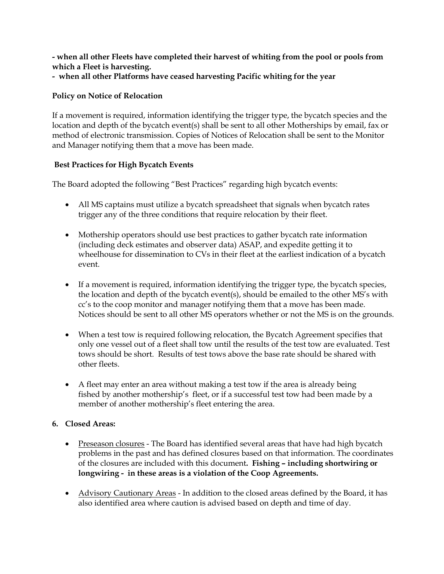**- when all other Fleets have completed their harvest of whiting from the pool or pools from which a Fleet is harvesting.** 

**- when all other Platforms have ceased harvesting Pacific whiting for the year**

### **Policy on Notice of Relocation**

If a movement is required, information identifying the trigger type, the bycatch species and the location and depth of the bycatch event(s) shall be sent to all other Motherships by email, fax or method of electronic transmission. Copies of Notices of Relocation shall be sent to the Monitor and Manager notifying them that a move has been made.

### **Best Practices for High Bycatch Events**

The Board adopted the following "Best Practices" regarding high bycatch events:

- All MS captains must utilize a bycatch spreadsheet that signals when bycatch rates trigger any of the three conditions that require relocation by their fleet.
- Mothership operators should use best practices to gather bycatch rate information (including deck estimates and observer data) ASAP, and expedite getting it to wheelhouse for dissemination to CVs in their fleet at the earliest indication of a bycatch event.
- If a movement is required, information identifying the trigger type, the bycatch species, the location and depth of the bycatch event(s), should be emailed to the other MS's with cc's to the coop monitor and manager notifying them that a move has been made. Notices should be sent to all other MS operators whether or not the MS is on the grounds.
- When a test tow is required following relocation, the Bycatch Agreement specifies that only one vessel out of a fleet shall tow until the results of the test tow are evaluated. Test tows should be short. Results of test tows above the base rate should be shared with other fleets.
- A fleet may enter an area without making a test tow if the area is already being fished by another mothership's fleet, or if a successful test tow had been made by a member of another mothership's fleet entering the area.

### **6. Closed Areas:**

- Preseason closures The Board has identified several areas that have had high bycatch problems in the past and has defined closures based on that information. The coordinates of the closures are included with this document**. Fishing – including shortwiring or longwiring - in these areas is a violation of the Coop Agreements.**
- Advisory Cautionary Areas In addition to the closed areas defined by the Board, it has also identified area where caution is advised based on depth and time of day.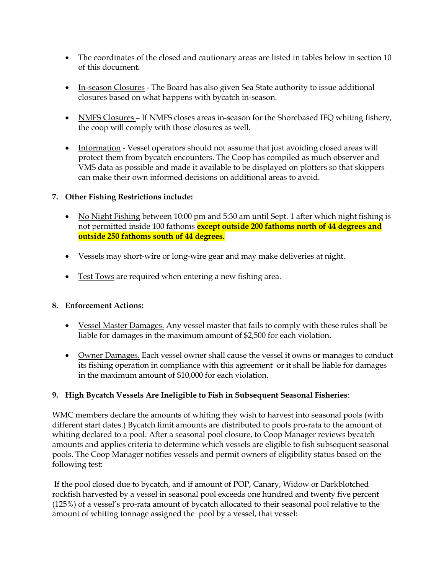- The coordinates of the closed and cautionary areas are listed in tables below in section 10 of this document**.**
- In-season Closures The Board has also given Sea State authority to issue additional closures based on what happens with bycatch in-season.
- NMFS Closures If NMFS closes areas in-season for the Shorebased IFQ whiting fishery, the coop will comply with those closures as well.
- Information Vessel operators should not assume that just avoiding closed areas will protect them from bycatch encounters. The Coop has compiled as much observer and VMS data as possible and made it available to be displayed on plotters so that skippers can make their own informed decisions on additional areas to avoid.

### **7. Other Fishing Restrictions include:**

- No Night Fishing between 10:00 pm and 5:30 am until Sept. 1 after which night fishing is not permitted inside 100 fathoms **except outside 200 fathoms north of 44 degrees and outside 250 fathoms south of 44 degrees.**
- Vessels may short-wire or long-wire gear and may make deliveries at night.
- Test Tows are required when entering a new fishing area.

### **8. Enforcement Actions:**

- Vessel Master Damages. Any vessel master that fails to comply with these rules shall be liable for damages in the maximum amount of \$2,500 for each violation.
- Owner Damages. Each vessel owner shall cause the vessel it owns or manages to conduct its fishing operation in compliance with this agreement or it shall be liable for damages in the maximum amount of \$10,000 for each violation.

### **9. High Bycatch Vessels Are Ineligible to Fish in Subsequent Seasonal Fisheries**:

WMC members declare the amounts of whiting they wish to harvest into seasonal pools (with different start dates.) Bycatch limit amounts are distributed to pools pro-rata to the amount of whiting declared to a pool. After a seasonal pool closure, to Coop Manager reviews bycatch amounts and applies criteria to determine which vessels are eligible to fish subsequent seasonal pools. The Coop Manager notifies vessels and permit owners of eligibility status based on the following test:

If the pool closed due to bycatch, and if amount of POP, Canary, Widow or Darkblotched rockfish harvested by a vessel in seasonal pool exceeds one hundred and twenty five percent (125%) of a vessel's pro-rata amount of bycatch allocated to their seasonal pool relative to the amount of whiting tonnage assigned the pool by a vessel, that vessel: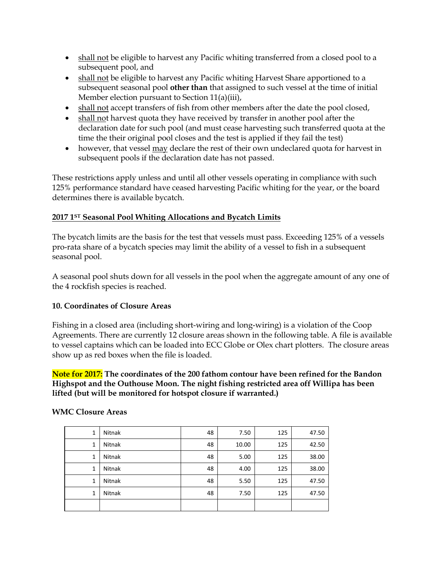- shall not be eligible to harvest any Pacific whiting transferred from a closed pool to a subsequent pool, and
- shall not be eligible to harvest any Pacific whiting Harvest Share apportioned to a subsequent seasonal pool **other than** that assigned to such vessel at the time of initial Member election pursuant to Section 11(a)(iii),
- shall not accept transfers of fish from other members after the date the pool closed,
- shall not harvest quota they have received by transfer in another pool after the declaration date for such pool (and must cease harvesting such transferred quota at the time the their original pool closes and the test is applied if they fail the test)
- however, that vessel may declare the rest of their own undeclared quota for harvest in subsequent pools if the declaration date has not passed.

These restrictions apply unless and until all other vessels operating in compliance with such 125% performance standard have ceased harvesting Pacific whiting for the year, or the board determines there is available bycatch.

### **2017 1ST Seasonal Pool Whiting Allocations and Bycatch Limits**

The bycatch limits are the basis for the test that vessels must pass. Exceeding 125% of a vessels pro-rata share of a bycatch species may limit the ability of a vessel to fish in a subsequent seasonal pool.

A seasonal pool shuts down for all vessels in the pool when the aggregate amount of any one of the 4 rockfish species is reached.

### **10. Coordinates of Closure Areas**

Fishing in a closed area (including short-wiring and long-wiring) is a violation of the Coop Agreements. There are currently 12 closure areas shown in the following table. A file is available to vessel captains which can be loaded into ECC Globe or Olex chart plotters. The closure areas show up as red boxes when the file is loaded.

**Note for 2017: The coordinates of the 200 fathom contour have been refined for the Bandon Highspot and the Outhouse Moon. The night fishing restricted area off Willipa has been lifted (but will be monitored for hotspot closure if warranted.)**

| 1 | Nitnak | 48 | 7.50  | 125 | 47.50 |
|---|--------|----|-------|-----|-------|
| 1 | Nitnak | 48 | 10.00 | 125 | 42.50 |
| 1 | Nitnak | 48 | 5.00  | 125 | 38.00 |
| 1 | Nitnak | 48 | 4.00  | 125 | 38.00 |
| 1 | Nitnak | 48 | 5.50  | 125 | 47.50 |
| 1 | Nitnak | 48 | 7.50  | 125 | 47.50 |
|   |        |    |       |     |       |

### **WMC Closure Areas**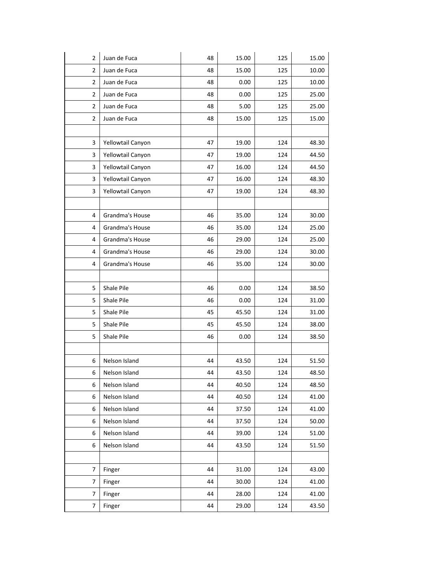| $\overline{2}$ | Juan de Fuca      | 48 | 15.00 | 125 | 15.00 |
|----------------|-------------------|----|-------|-----|-------|
| $\overline{2}$ | Juan de Fuca      | 48 | 15.00 | 125 | 10.00 |
| $\overline{2}$ | Juan de Fuca      | 48 | 0.00  | 125 | 10.00 |
| $\overline{2}$ | Juan de Fuca      | 48 | 0.00  | 125 | 25.00 |
| $\overline{2}$ | Juan de Fuca      | 48 | 5.00  | 125 | 25.00 |
| $\overline{2}$ | Juan de Fuca      | 48 | 15.00 | 125 | 15.00 |
|                |                   |    |       |     |       |
| 3              | Yellowtail Canyon | 47 | 19.00 | 124 | 48.30 |
| 3              | Yellowtail Canyon | 47 | 19.00 | 124 | 44.50 |
| 3              | Yellowtail Canyon | 47 | 16.00 | 124 | 44.50 |
| 3              | Yellowtail Canyon | 47 | 16.00 | 124 | 48.30 |
| 3              | Yellowtail Canyon | 47 | 19.00 | 124 | 48.30 |
|                |                   |    |       |     |       |
| 4              | Grandma's House   | 46 | 35.00 | 124 | 30.00 |
| 4              | Grandma's House   | 46 | 35.00 | 124 | 25.00 |
| 4              | Grandma's House   | 46 | 29.00 | 124 | 25.00 |
| 4              | Grandma's House   | 46 | 29.00 | 124 | 30.00 |
| 4              | Grandma's House   | 46 | 35.00 | 124 | 30.00 |
|                |                   |    |       |     |       |
| 5              | Shale Pile        | 46 | 0.00  | 124 | 38.50 |
| 5              | Shale Pile        | 46 | 0.00  | 124 | 31.00 |
| 5              | Shale Pile        | 45 | 45.50 | 124 | 31.00 |
| 5              | Shale Pile        | 45 | 45.50 | 124 | 38.00 |
| 5              | Shale Pile        | 46 | 0.00  | 124 | 38.50 |
|                |                   |    |       |     |       |
| 6              | Nelson Island     | 44 | 43.50 | 124 | 51.50 |
| 6              | Nelson Island     | 44 | 43.50 | 124 | 48.50 |
| 6              | Nelson Island     | 44 | 40.50 | 124 | 48.50 |
| 6              | Nelson Island     | 44 | 40.50 | 124 | 41.00 |
| 6              | Nelson Island     | 44 | 37.50 | 124 | 41.00 |
| 6              | Nelson Island     | 44 | 37.50 | 124 | 50.00 |
| 6              | Nelson Island     | 44 | 39.00 | 124 | 51.00 |
| 6              | Nelson Island     | 44 | 43.50 | 124 | 51.50 |
|                |                   |    |       |     |       |
| 7              | Finger            | 44 | 31.00 | 124 | 43.00 |
| 7              | Finger            | 44 | 30.00 | 124 | 41.00 |
| 7              | Finger            | 44 | 28.00 | 124 | 41.00 |
| 7              | Finger            | 44 | 29.00 | 124 | 43.50 |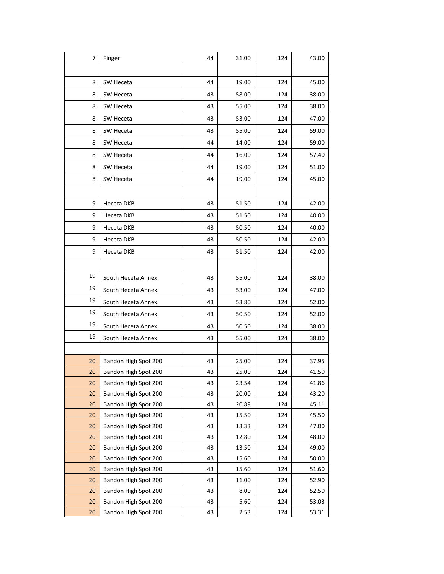| 7  | Finger               | 44 | 31.00 | 124 | 43.00 |
|----|----------------------|----|-------|-----|-------|
|    |                      |    |       |     |       |
| 8  | SW Heceta            | 44 | 19.00 | 124 | 45.00 |
| 8  | SW Heceta            | 43 | 58.00 | 124 | 38.00 |
| 8  | SW Heceta            | 43 | 55.00 | 124 | 38.00 |
| 8  | SW Heceta            | 43 | 53.00 | 124 | 47.00 |
| 8  | SW Heceta            | 43 | 55.00 | 124 | 59.00 |
| 8  | SW Heceta            | 44 | 14.00 | 124 | 59.00 |
| 8  | SW Heceta            | 44 | 16.00 | 124 | 57.40 |
| 8  | SW Heceta            | 44 | 19.00 | 124 | 51.00 |
| 8  | SW Heceta            | 44 | 19.00 | 124 | 45.00 |
|    |                      |    |       |     |       |
| 9  | Heceta DKB           | 43 | 51.50 | 124 | 42.00 |
| 9  | Heceta DKB           | 43 | 51.50 | 124 | 40.00 |
| 9  | Heceta DKB           | 43 | 50.50 | 124 | 40.00 |
| 9  | Heceta DKB           | 43 | 50.50 | 124 | 42.00 |
| 9  | Heceta DKB           | 43 | 51.50 | 124 | 42.00 |
|    |                      |    |       |     |       |
| 19 | South Heceta Annex   | 43 | 55.00 | 124 | 38.00 |
| 19 | South Heceta Annex   | 43 | 53.00 | 124 | 47.00 |
| 19 | South Heceta Annex   | 43 | 53.80 | 124 | 52.00 |
| 19 | South Heceta Annex   | 43 | 50.50 | 124 | 52.00 |
| 19 | South Heceta Annex   | 43 | 50.50 | 124 | 38.00 |
| 19 | South Heceta Annex   | 43 | 55.00 | 124 | 38.00 |
|    |                      |    |       |     |       |
| 20 | Bandon High Spot 200 | 43 | 25.00 | 124 | 37.95 |
| 20 | Bandon High Spot 200 | 43 | 25.00 | 124 | 41.50 |
| 20 | Bandon High Spot 200 | 43 | 23.54 | 124 | 41.86 |
| 20 | Bandon High Spot 200 | 43 | 20.00 | 124 | 43.20 |
| 20 | Bandon High Spot 200 | 43 | 20.89 | 124 | 45.11 |
| 20 | Bandon High Spot 200 | 43 | 15.50 | 124 | 45.50 |
| 20 | Bandon High Spot 200 | 43 | 13.33 | 124 | 47.00 |
| 20 | Bandon High Spot 200 | 43 | 12.80 | 124 | 48.00 |
| 20 | Bandon High Spot 200 | 43 | 13.50 | 124 | 49.00 |
| 20 | Bandon High Spot 200 | 43 | 15.60 | 124 | 50.00 |
| 20 | Bandon High Spot 200 | 43 | 15.60 | 124 | 51.60 |
| 20 | Bandon High Spot 200 | 43 | 11.00 | 124 | 52.90 |
| 20 | Bandon High Spot 200 | 43 | 8.00  | 124 | 52.50 |
| 20 | Bandon High Spot 200 | 43 | 5.60  | 124 | 53.03 |
| 20 | Bandon High Spot 200 | 43 | 2.53  | 124 | 53.31 |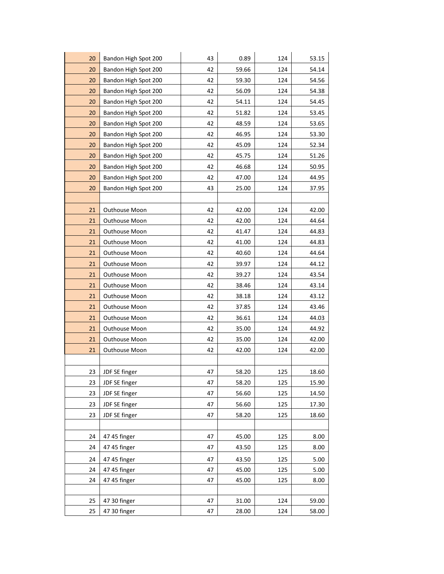| 20 | Bandon High Spot 200 | 43 | 0.89  | 124 | 53.15 |
|----|----------------------|----|-------|-----|-------|
| 20 | Bandon High Spot 200 | 42 | 59.66 | 124 | 54.14 |
| 20 | Bandon High Spot 200 | 42 | 59.30 | 124 | 54.56 |
| 20 | Bandon High Spot 200 | 42 | 56.09 | 124 | 54.38 |
| 20 | Bandon High Spot 200 | 42 | 54.11 | 124 | 54.45 |
| 20 | Bandon High Spot 200 | 42 | 51.82 | 124 | 53.45 |
| 20 | Bandon High Spot 200 | 42 | 48.59 | 124 | 53.65 |
| 20 | Bandon High Spot 200 | 42 | 46.95 | 124 | 53.30 |
| 20 | Bandon High Spot 200 | 42 | 45.09 | 124 | 52.34 |
| 20 | Bandon High Spot 200 | 42 | 45.75 | 124 | 51.26 |
| 20 | Bandon High Spot 200 | 42 | 46.68 | 124 | 50.95 |
| 20 | Bandon High Spot 200 | 42 | 47.00 | 124 | 44.95 |
| 20 | Bandon High Spot 200 | 43 | 25.00 | 124 | 37.95 |
|    |                      |    |       |     |       |
| 21 | Outhouse Moon        | 42 | 42.00 | 124 | 42.00 |
| 21 | Outhouse Moon        | 42 | 42.00 | 124 | 44.64 |
| 21 | Outhouse Moon        | 42 | 41.47 | 124 | 44.83 |
| 21 | Outhouse Moon        | 42 | 41.00 | 124 | 44.83 |
| 21 | Outhouse Moon        | 42 | 40.60 | 124 | 44.64 |
| 21 | Outhouse Moon        | 42 | 39.97 | 124 | 44.12 |
| 21 | Outhouse Moon        | 42 | 39.27 | 124 | 43.54 |
| 21 | Outhouse Moon        | 42 | 38.46 | 124 | 43.14 |
| 21 | Outhouse Moon        | 42 | 38.18 | 124 | 43.12 |
| 21 | Outhouse Moon        | 42 | 37.85 | 124 | 43.46 |
| 21 | Outhouse Moon        | 42 | 36.61 | 124 | 44.03 |
| 21 | Outhouse Moon        | 42 | 35.00 | 124 | 44.92 |
| 21 | Outhouse Moon        | 42 | 35.00 | 124 | 42.00 |
| 21 | Outhouse Moon        | 42 | 42.00 | 124 | 42.00 |
|    |                      |    |       |     |       |
| 23 | JDF SE finger        | 47 | 58.20 | 125 | 18.60 |
| 23 | JDF SE finger        | 47 | 58.20 | 125 | 15.90 |
| 23 | JDF SE finger        | 47 | 56.60 | 125 | 14.50 |
| 23 | JDF SE finger        | 47 | 56.60 | 125 | 17.30 |
| 23 | JDF SE finger        | 47 | 58.20 | 125 | 18.60 |
|    |                      |    |       |     |       |
| 24 | 47 45 finger         | 47 | 45.00 | 125 | 8.00  |
| 24 | 47 45 finger         | 47 | 43.50 | 125 | 8.00  |
| 24 | 47 45 finger         | 47 | 43.50 | 125 | 5.00  |
| 24 | 47 45 finger         | 47 | 45.00 | 125 | 5.00  |
| 24 | 47 45 finger         | 47 | 45.00 | 125 | 8.00  |
|    |                      |    |       |     |       |
| 25 | 47 30 finger         | 47 | 31.00 | 124 | 59.00 |
| 25 | 47 30 finger         | 47 | 28.00 | 124 | 58.00 |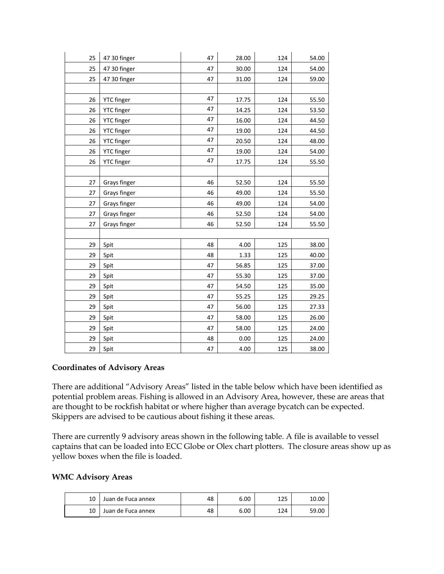| 25 | 47 30 finger      | 47 | 28.00 | 124 | 54.00 |
|----|-------------------|----|-------|-----|-------|
| 25 | 47 30 finger      | 47 | 30.00 | 124 | 54.00 |
| 25 | 47 30 finger      | 47 | 31.00 | 124 | 59.00 |
|    |                   |    |       |     |       |
| 26 | <b>YTC</b> finger | 47 | 17.75 | 124 | 55.50 |
| 26 | <b>YTC</b> finger | 47 | 14.25 | 124 | 53.50 |
| 26 | <b>YTC</b> finger | 47 | 16.00 | 124 | 44.50 |
| 26 | <b>YTC</b> finger | 47 | 19.00 | 124 | 44.50 |
| 26 | <b>YTC</b> finger | 47 | 20.50 | 124 | 48.00 |
| 26 | <b>YTC</b> finger | 47 | 19.00 | 124 | 54.00 |
| 26 | <b>YTC</b> finger | 47 | 17.75 | 124 | 55.50 |
|    |                   |    |       |     |       |
| 27 | Grays finger      | 46 | 52.50 | 124 | 55.50 |
| 27 | Grays finger      | 46 | 49.00 | 124 | 55.50 |
| 27 | Grays finger      | 46 | 49.00 | 124 | 54.00 |
| 27 | Grays finger      | 46 | 52.50 | 124 | 54.00 |
| 27 | Grays finger      | 46 | 52.50 | 124 | 55.50 |
|    |                   |    |       |     |       |
| 29 | Spit              | 48 | 4.00  | 125 | 38.00 |
| 29 | Spit              | 48 | 1.33  | 125 | 40.00 |
| 29 | Spit              | 47 | 56.85 | 125 | 37.00 |
| 29 | Spit              | 47 | 55.30 | 125 | 37.00 |
| 29 | Spit              | 47 | 54.50 | 125 | 35.00 |
| 29 | Spit              | 47 | 55.25 | 125 | 29.25 |
| 29 | Spit              | 47 | 56.00 | 125 | 27.33 |
| 29 | Spit              | 47 | 58.00 | 125 | 26.00 |
| 29 | Spit              | 47 | 58.00 | 125 | 24.00 |
| 29 | Spit              | 48 | 0.00  | 125 | 24.00 |
| 29 | Spit              | 47 | 4.00  | 125 | 38.00 |

### **Coordinates of Advisory Areas**

There are additional "Advisory Areas" listed in the table below which have been identified as potential problem areas. Fishing is allowed in an Advisory Area, however, these are areas that are thought to be rockfish habitat or where higher than average bycatch can be expected. Skippers are advised to be cautious about fishing it these areas.

There are currently 9 advisory areas shown in the following table. A file is available to vessel captains that can be loaded into ECC Globe or Olex chart plotters. The closure areas show up as yellow boxes when the file is loaded.

### **WMC Advisory Areas**

| 10 | Juan de Fuca annex | 48 | 6.00 | 1つに<br>⊥∠⊃ | 10.00 |
|----|--------------------|----|------|------------|-------|
| 10 | Juan de Fuca annex | 48 | 6.00 | 124        | 59.00 |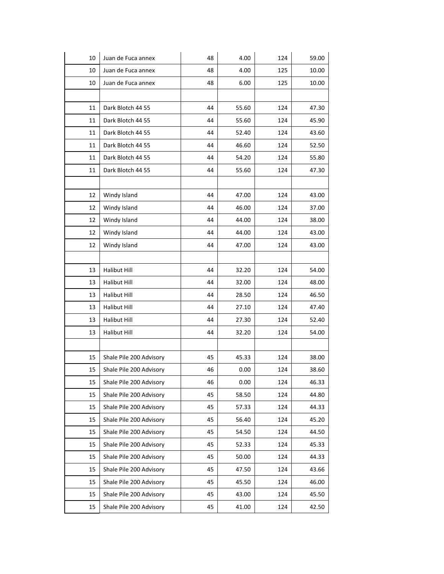| 10 | Juan de Fuca annex      | 48 | 4.00  | 124 | 59.00 |
|----|-------------------------|----|-------|-----|-------|
| 10 | Juan de Fuca annex      | 48 | 4.00  | 125 | 10.00 |
| 10 | Juan de Fuca annex      | 48 | 6.00  | 125 | 10.00 |
|    |                         |    |       |     |       |
| 11 | Dark Blotch 44 55       | 44 | 55.60 | 124 | 47.30 |
| 11 | Dark Blotch 44 55       | 44 | 55.60 | 124 | 45.90 |
| 11 | Dark Blotch 44 55       | 44 | 52.40 | 124 | 43.60 |
| 11 | Dark Blotch 44 55       | 44 | 46.60 | 124 | 52.50 |
| 11 | Dark Blotch 44 55       | 44 | 54.20 | 124 | 55.80 |
| 11 | Dark Blotch 44 55       | 44 | 55.60 | 124 | 47.30 |
|    |                         |    |       |     |       |
| 12 | Windy Island            | 44 | 47.00 | 124 | 43.00 |
| 12 | Windy Island            | 44 | 46.00 | 124 | 37.00 |
| 12 | Windy Island            | 44 | 44.00 | 124 | 38.00 |
| 12 | Windy Island            | 44 | 44.00 | 124 | 43.00 |
| 12 | Windy Island            | 44 | 47.00 | 124 | 43.00 |
|    |                         |    |       |     |       |
| 13 | <b>Halibut Hill</b>     | 44 | 32.20 | 124 | 54.00 |
| 13 | <b>Halibut Hill</b>     | 44 | 32.00 | 124 | 48.00 |
| 13 | <b>Halibut Hill</b>     | 44 | 28.50 | 124 | 46.50 |
| 13 | <b>Halibut Hill</b>     | 44 | 27.10 | 124 | 47.40 |
| 13 | <b>Halibut Hill</b>     | 44 | 27.30 | 124 | 52.40 |
| 13 | Halibut Hill            | 44 | 32.20 | 124 | 54.00 |
|    |                         |    |       |     |       |
| 15 | Shale Pile 200 Advisory | 45 | 45.33 | 124 | 38.00 |
| 15 | Shale Pile 200 Advisory | 46 | 0.00  | 124 | 38.60 |
| 15 | Shale Pile 200 Advisory | 46 | 0.00  | 124 | 46.33 |
| 15 | Shale Pile 200 Advisory | 45 | 58.50 | 124 | 44.80 |
| 15 | Shale Pile 200 Advisory | 45 | 57.33 | 124 | 44.33 |
| 15 | Shale Pile 200 Advisory | 45 | 56.40 | 124 | 45.20 |
| 15 | Shale Pile 200 Advisory | 45 | 54.50 | 124 | 44.50 |
| 15 | Shale Pile 200 Advisory | 45 | 52.33 | 124 | 45.33 |
| 15 | Shale Pile 200 Advisory | 45 | 50.00 | 124 | 44.33 |
| 15 | Shale Pile 200 Advisory | 45 | 47.50 | 124 | 43.66 |
| 15 | Shale Pile 200 Advisory | 45 | 45.50 | 124 | 46.00 |
| 15 | Shale Pile 200 Advisory | 45 | 43.00 | 124 | 45.50 |
| 15 | Shale Pile 200 Advisory | 45 | 41.00 | 124 | 42.50 |